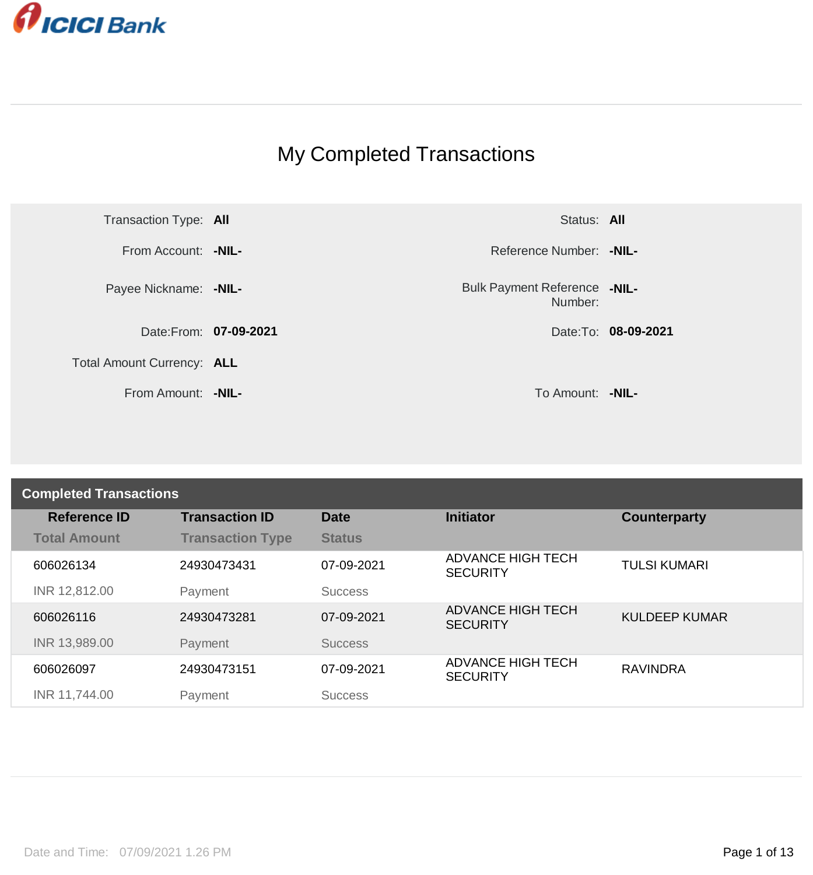

## My Completed Transactions



| <b>Completed Transactions</b> |                         |                |                                             |                      |  |
|-------------------------------|-------------------------|----------------|---------------------------------------------|----------------------|--|
| <b>Reference ID</b>           | <b>Transaction ID</b>   | <b>Date</b>    | <b>Initiator</b>                            | <b>Counterparty</b>  |  |
| <b>Total Amount</b>           | <b>Transaction Type</b> | <b>Status</b>  |                                             |                      |  |
| 606026134                     | 24930473431             | 07-09-2021     | <b>ADVANCE HIGH TECH</b><br><b>SECURITY</b> | <b>TULSI KUMARI</b>  |  |
| INR 12,812.00                 | Payment                 | <b>Success</b> |                                             |                      |  |
| 606026116                     | 24930473281             | 07-09-2021     | <b>ADVANCE HIGH TECH</b><br><b>SECURITY</b> | <b>KULDEEP KUMAR</b> |  |
| INR 13,989.00                 | Payment                 | <b>Success</b> |                                             |                      |  |
| 606026097                     | 24930473151             | 07-09-2021     | <b>ADVANCE HIGH TECH</b><br><b>SECURITY</b> | <b>RAVINDRA</b>      |  |
| INR 11,744.00                 | Payment                 | <b>Success</b> |                                             |                      |  |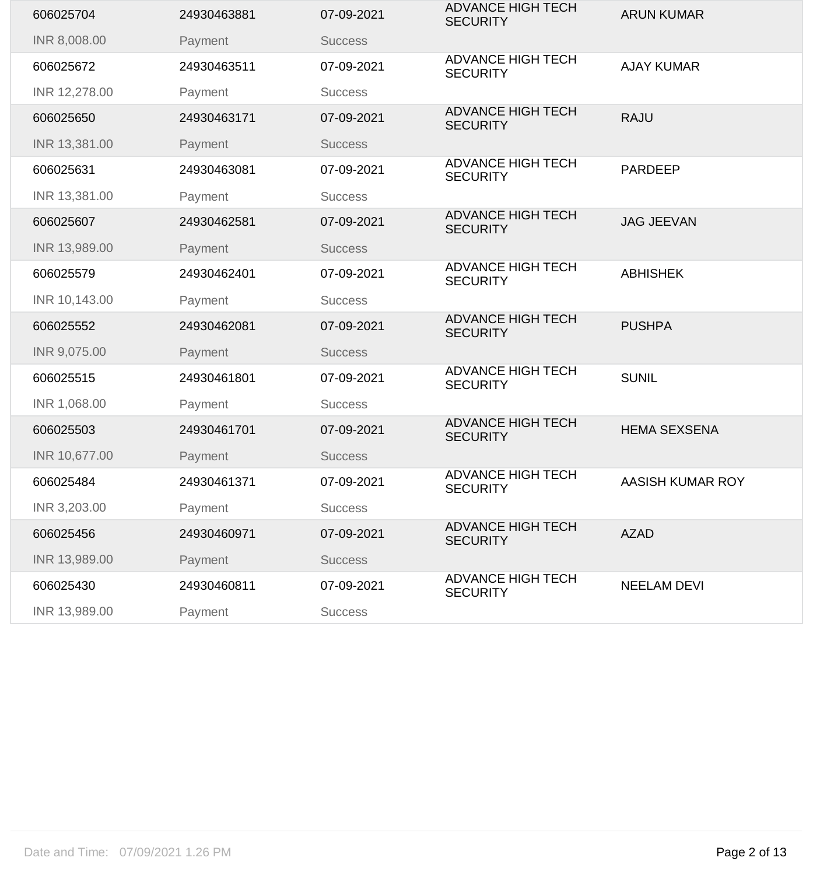| 606025704     | 24930463881 | 07-09-2021     | <b>ADVANCE HIGH TECH</b><br><b>SECURITY</b> | <b>ARUN KUMAR</b>   |
|---------------|-------------|----------------|---------------------------------------------|---------------------|
| INR 8,008.00  | Payment     | <b>Success</b> |                                             |                     |
| 606025672     | 24930463511 | 07-09-2021     | <b>ADVANCE HIGH TECH</b><br><b>SECURITY</b> | <b>AJAY KUMAR</b>   |
| INR 12,278.00 | Payment     | <b>Success</b> |                                             |                     |
| 606025650     | 24930463171 | 07-09-2021     | <b>ADVANCE HIGH TECH</b><br><b>SECURITY</b> | <b>RAJU</b>         |
| INR 13,381.00 | Payment     | <b>Success</b> |                                             |                     |
| 606025631     | 24930463081 | 07-09-2021     | <b>ADVANCE HIGH TECH</b><br><b>SECURITY</b> | <b>PARDEEP</b>      |
| INR 13,381.00 | Payment     | <b>Success</b> |                                             |                     |
| 606025607     | 24930462581 | 07-09-2021     | <b>ADVANCE HIGH TECH</b><br><b>SECURITY</b> | <b>JAG JEEVAN</b>   |
| INR 13,989.00 | Payment     | <b>Success</b> |                                             |                     |
| 606025579     | 24930462401 | 07-09-2021     | <b>ADVANCE HIGH TECH</b><br><b>SECURITY</b> | <b>ABHISHEK</b>     |
| INR 10,143.00 | Payment     | <b>Success</b> |                                             |                     |
| 606025552     | 24930462081 | 07-09-2021     | <b>ADVANCE HIGH TECH</b><br><b>SECURITY</b> | <b>PUSHPA</b>       |
| INR 9,075.00  | Payment     | <b>Success</b> |                                             |                     |
| 606025515     | 24930461801 | 07-09-2021     | <b>ADVANCE HIGH TECH</b><br><b>SECURITY</b> | <b>SUNIL</b>        |
| INR 1,068.00  | Payment     | <b>Success</b> |                                             |                     |
| 606025503     | 24930461701 | 07-09-2021     | <b>ADVANCE HIGH TECH</b><br><b>SECURITY</b> | <b>HEMA SEXSENA</b> |
| INR 10,677.00 | Payment     | <b>Success</b> |                                             |                     |
| 606025484     | 24930461371 | 07-09-2021     | <b>ADVANCE HIGH TECH</b><br><b>SECURITY</b> | AASISH KUMAR ROY    |
| INR 3,203.00  | Payment     | <b>Success</b> |                                             |                     |
| 606025456     | 24930460971 | 07-09-2021     | <b>ADVANCE HIGH TECH</b><br><b>SECURITY</b> | <b>AZAD</b>         |
| INR 13,989.00 | Payment     | <b>Success</b> |                                             |                     |
| 606025430     | 24930460811 | 07-09-2021     | <b>ADVANCE HIGH TECH</b><br><b>SECURITY</b> | <b>NEELAM DEVI</b>  |
| INR 13,989.00 | Payment     | <b>Success</b> |                                             |                     |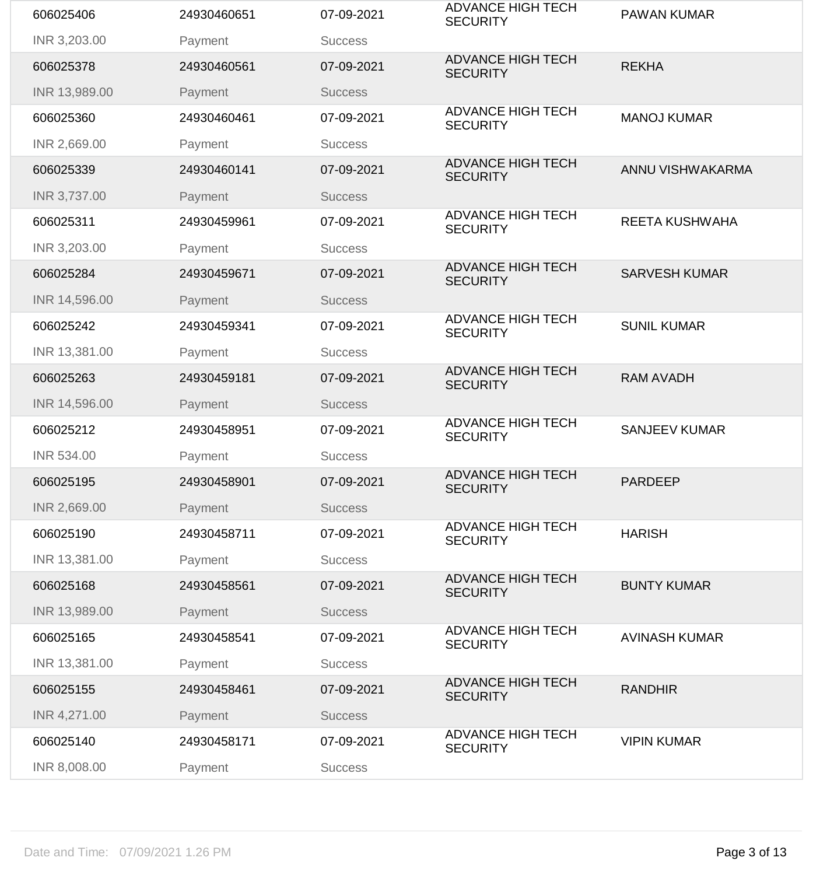| 606025406         | 24930460651 | 07-09-2021     | <b>ADVANCE HIGH TECH</b><br><b>SECURITY</b> | <b>PAWAN KUMAR</b>    |
|-------------------|-------------|----------------|---------------------------------------------|-----------------------|
| INR 3,203.00      | Payment     | <b>Success</b> |                                             |                       |
| 606025378         | 24930460561 | 07-09-2021     | <b>ADVANCE HIGH TECH</b><br><b>SECURITY</b> | <b>REKHA</b>          |
| INR 13,989.00     | Payment     | <b>Success</b> |                                             |                       |
| 606025360         | 24930460461 | 07-09-2021     | <b>ADVANCE HIGH TECH</b><br><b>SECURITY</b> | <b>MANOJ KUMAR</b>    |
| INR 2,669.00      | Payment     | <b>Success</b> |                                             |                       |
| 606025339         | 24930460141 | 07-09-2021     | <b>ADVANCE HIGH TECH</b><br><b>SECURITY</b> | ANNU VISHWAKARMA      |
| INR 3,737.00      | Payment     | <b>Success</b> |                                             |                       |
| 606025311         | 24930459961 | 07-09-2021     | <b>ADVANCE HIGH TECH</b><br><b>SECURITY</b> | <b>REETA KUSHWAHA</b> |
| INR 3,203.00      | Payment     | <b>Success</b> |                                             |                       |
| 606025284         | 24930459671 | 07-09-2021     | <b>ADVANCE HIGH TECH</b><br><b>SECURITY</b> | <b>SARVESH KUMAR</b>  |
| INR 14,596.00     | Payment     | <b>Success</b> |                                             |                       |
| 606025242         | 24930459341 | 07-09-2021     | <b>ADVANCE HIGH TECH</b><br><b>SECURITY</b> | <b>SUNIL KUMAR</b>    |
| INR 13,381.00     | Payment     | <b>Success</b> |                                             |                       |
| 606025263         | 24930459181 | 07-09-2021     | <b>ADVANCE HIGH TECH</b><br><b>SECURITY</b> | <b>RAM AVADH</b>      |
| INR 14,596.00     | Payment     | <b>Success</b> |                                             |                       |
| 606025212         | 24930458951 | 07-09-2021     | <b>ADVANCE HIGH TECH</b><br><b>SECURITY</b> | <b>SANJEEV KUMAR</b>  |
| <b>INR 534.00</b> | Payment     | <b>Success</b> |                                             |                       |
| 606025195         | 24930458901 | 07-09-2021     | <b>ADVANCE HIGH TECH</b><br><b>SECURITY</b> | <b>PARDEEP</b>        |
| INR 2,669.00      | Payment     | <b>Success</b> |                                             |                       |
| 606025190         | 24930458711 | 07-09-2021     | <b>ADVANCE HIGH TECH</b><br><b>SECURITY</b> | <b>HARISH</b>         |
| INR 13,381.00     | Payment     | <b>Success</b> |                                             |                       |
| 606025168         | 24930458561 | 07-09-2021     | <b>ADVANCE HIGH TECH</b><br><b>SECURITY</b> | <b>BUNTY KUMAR</b>    |
| INR 13,989.00     | Payment     | <b>Success</b> |                                             |                       |
| 606025165         | 24930458541 | 07-09-2021     | <b>ADVANCE HIGH TECH</b><br><b>SECURITY</b> | <b>AVINASH KUMAR</b>  |
| INR 13,381.00     | Payment     | <b>Success</b> |                                             |                       |
| 606025155         | 24930458461 | 07-09-2021     | <b>ADVANCE HIGH TECH</b><br><b>SECURITY</b> | <b>RANDHIR</b>        |
| INR 4,271.00      | Payment     | <b>Success</b> |                                             |                       |
| 606025140         | 24930458171 | 07-09-2021     | <b>ADVANCE HIGH TECH</b><br><b>SECURITY</b> | <b>VIPIN KUMAR</b>    |
| INR 8,008.00      | Payment     | <b>Success</b> |                                             |                       |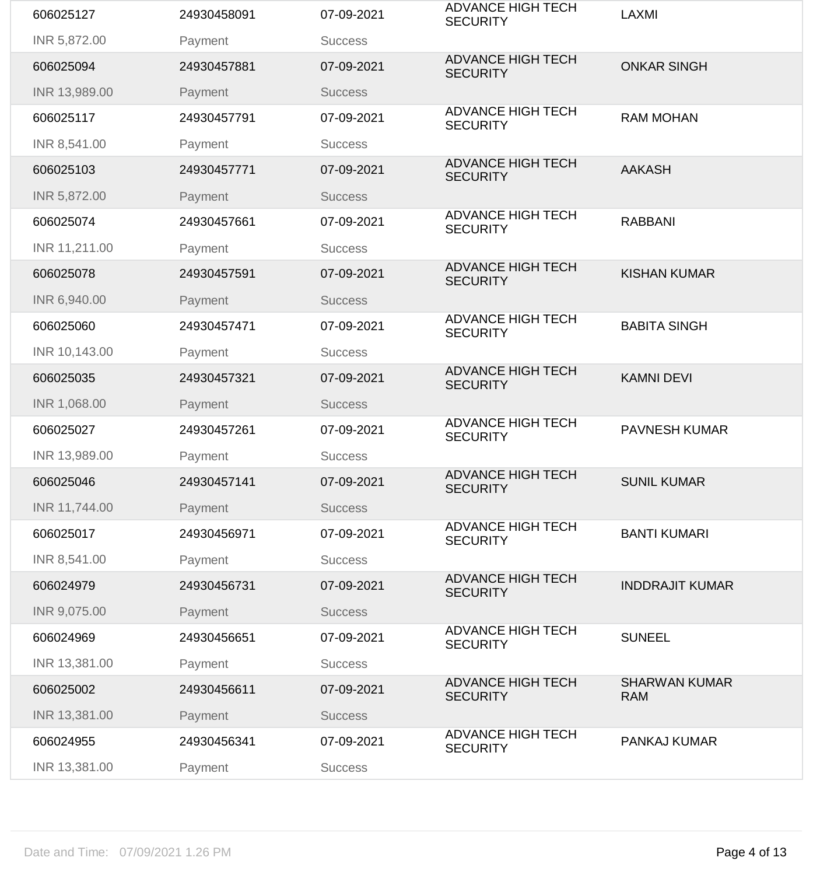| INR 5,872.00<br>Payment<br><b>Success</b><br><b>ADVANCE HIGH TECH</b><br><b>ONKAR SINGH</b><br>606025094<br>24930457881<br>07-09-2021<br><b>SECURITY</b><br>INR 13,989.00<br>Payment<br><b>Success</b><br><b>ADVANCE HIGH TECH</b><br><b>RAM MOHAN</b><br>606025117<br>24930457791<br>07-09-2021<br><b>SECURITY</b><br>INR 8,541.00<br><b>Success</b><br>Payment<br><b>ADVANCE HIGH TECH</b><br>07-09-2021<br><b>AAKASH</b><br>606025103<br>24930457771<br><b>SECURITY</b><br>INR 5,872.00<br>Payment<br><b>Success</b><br><b>ADVANCE HIGH TECH</b><br><b>RABBANI</b><br>606025074<br>24930457661<br>07-09-2021<br><b>SECURITY</b><br>INR 11,211.00<br>Payment<br><b>Success</b><br><b>ADVANCE HIGH TECH</b><br>606025078<br>24930457591<br>07-09-2021<br><b>KISHAN KUMAR</b><br><b>SECURITY</b><br>INR 6,940.00<br><b>Success</b><br>Payment<br><b>ADVANCE HIGH TECH</b><br>07-09-2021<br><b>BABITA SINGH</b><br>606025060<br>24930457471<br><b>SECURITY</b><br>INR 10,143.00<br>Payment<br><b>Success</b><br><b>ADVANCE HIGH TECH</b><br><b>KAMNI DEVI</b><br>606025035<br>24930457321<br>07-09-2021<br><b>SECURITY</b><br>INR 1,068.00<br>Payment<br><b>Success</b><br><b>ADVANCE HIGH TECH</b><br><b>PAVNESH KUMAR</b><br>24930457261<br>606025027<br>07-09-2021<br><b>SECURITY</b><br>INR 13,989.00<br>Payment<br><b>Success</b><br><b>ADVANCE HIGH TECH</b><br>07-09-2021<br><b>SUNIL KUMAR</b><br>606025046<br>24930457141<br><b>SECURITY</b><br>INR 11,744.00<br>Payment<br><b>Success</b><br><b>ADVANCE HIGH TECH</b><br>606025017<br>24930456971<br>07-09-2021<br><b>BANTI KUMARI</b><br><b>SECURITY</b><br>INR 8,541.00<br>Payment<br><b>Success</b><br><b>ADVANCE HIGH TECH</b><br>07-09-2021<br><b>INDDRAJIT KUMAR</b><br>606024979<br>24930456731<br><b>SECURITY</b><br>INR 9,075.00<br>Payment<br><b>Success</b><br><b>ADVANCE HIGH TECH</b><br><b>SUNEEL</b><br>606024969<br>24930456651<br>07-09-2021<br><b>SECURITY</b><br>INR 13,381.00<br>Payment<br><b>Success</b><br><b>ADVANCE HIGH TECH</b><br><b>SHARWAN KUMAR</b><br>606025002<br>24930456611<br>07-09-2021<br><b>RAM</b><br><b>SECURITY</b><br>INR 13,381.00<br>Payment<br><b>Success</b><br><b>ADVANCE HIGH TECH</b><br><b>PANKAJ KUMAR</b><br>606024955<br>24930456341<br>07-09-2021<br><b>SECURITY</b><br>INR 13,381.00<br>Payment<br><b>Success</b> | 606025127 | 24930458091 | 07-09-2021 | <b>ADVANCE HIGH TECH</b><br><b>SECURITY</b> | <b>LAXMI</b> |
|------------------------------------------------------------------------------------------------------------------------------------------------------------------------------------------------------------------------------------------------------------------------------------------------------------------------------------------------------------------------------------------------------------------------------------------------------------------------------------------------------------------------------------------------------------------------------------------------------------------------------------------------------------------------------------------------------------------------------------------------------------------------------------------------------------------------------------------------------------------------------------------------------------------------------------------------------------------------------------------------------------------------------------------------------------------------------------------------------------------------------------------------------------------------------------------------------------------------------------------------------------------------------------------------------------------------------------------------------------------------------------------------------------------------------------------------------------------------------------------------------------------------------------------------------------------------------------------------------------------------------------------------------------------------------------------------------------------------------------------------------------------------------------------------------------------------------------------------------------------------------------------------------------------------------------------------------------------------------------------------------------------------------------------------------------------------------------------------------------------------------------------------------------------------------------------------------------------------------------------------------------------------------------------------------------------------------------|-----------|-------------|------------|---------------------------------------------|--------------|
|                                                                                                                                                                                                                                                                                                                                                                                                                                                                                                                                                                                                                                                                                                                                                                                                                                                                                                                                                                                                                                                                                                                                                                                                                                                                                                                                                                                                                                                                                                                                                                                                                                                                                                                                                                                                                                                                                                                                                                                                                                                                                                                                                                                                                                                                                                                                    |           |             |            |                                             |              |
|                                                                                                                                                                                                                                                                                                                                                                                                                                                                                                                                                                                                                                                                                                                                                                                                                                                                                                                                                                                                                                                                                                                                                                                                                                                                                                                                                                                                                                                                                                                                                                                                                                                                                                                                                                                                                                                                                                                                                                                                                                                                                                                                                                                                                                                                                                                                    |           |             |            |                                             |              |
|                                                                                                                                                                                                                                                                                                                                                                                                                                                                                                                                                                                                                                                                                                                                                                                                                                                                                                                                                                                                                                                                                                                                                                                                                                                                                                                                                                                                                                                                                                                                                                                                                                                                                                                                                                                                                                                                                                                                                                                                                                                                                                                                                                                                                                                                                                                                    |           |             |            |                                             |              |
|                                                                                                                                                                                                                                                                                                                                                                                                                                                                                                                                                                                                                                                                                                                                                                                                                                                                                                                                                                                                                                                                                                                                                                                                                                                                                                                                                                                                                                                                                                                                                                                                                                                                                                                                                                                                                                                                                                                                                                                                                                                                                                                                                                                                                                                                                                                                    |           |             |            |                                             |              |
|                                                                                                                                                                                                                                                                                                                                                                                                                                                                                                                                                                                                                                                                                                                                                                                                                                                                                                                                                                                                                                                                                                                                                                                                                                                                                                                                                                                                                                                                                                                                                                                                                                                                                                                                                                                                                                                                                                                                                                                                                                                                                                                                                                                                                                                                                                                                    |           |             |            |                                             |              |
|                                                                                                                                                                                                                                                                                                                                                                                                                                                                                                                                                                                                                                                                                                                                                                                                                                                                                                                                                                                                                                                                                                                                                                                                                                                                                                                                                                                                                                                                                                                                                                                                                                                                                                                                                                                                                                                                                                                                                                                                                                                                                                                                                                                                                                                                                                                                    |           |             |            |                                             |              |
|                                                                                                                                                                                                                                                                                                                                                                                                                                                                                                                                                                                                                                                                                                                                                                                                                                                                                                                                                                                                                                                                                                                                                                                                                                                                                                                                                                                                                                                                                                                                                                                                                                                                                                                                                                                                                                                                                                                                                                                                                                                                                                                                                                                                                                                                                                                                    |           |             |            |                                             |              |
|                                                                                                                                                                                                                                                                                                                                                                                                                                                                                                                                                                                                                                                                                                                                                                                                                                                                                                                                                                                                                                                                                                                                                                                                                                                                                                                                                                                                                                                                                                                                                                                                                                                                                                                                                                                                                                                                                                                                                                                                                                                                                                                                                                                                                                                                                                                                    |           |             |            |                                             |              |
|                                                                                                                                                                                                                                                                                                                                                                                                                                                                                                                                                                                                                                                                                                                                                                                                                                                                                                                                                                                                                                                                                                                                                                                                                                                                                                                                                                                                                                                                                                                                                                                                                                                                                                                                                                                                                                                                                                                                                                                                                                                                                                                                                                                                                                                                                                                                    |           |             |            |                                             |              |
|                                                                                                                                                                                                                                                                                                                                                                                                                                                                                                                                                                                                                                                                                                                                                                                                                                                                                                                                                                                                                                                                                                                                                                                                                                                                                                                                                                                                                                                                                                                                                                                                                                                                                                                                                                                                                                                                                                                                                                                                                                                                                                                                                                                                                                                                                                                                    |           |             |            |                                             |              |
|                                                                                                                                                                                                                                                                                                                                                                                                                                                                                                                                                                                                                                                                                                                                                                                                                                                                                                                                                                                                                                                                                                                                                                                                                                                                                                                                                                                                                                                                                                                                                                                                                                                                                                                                                                                                                                                                                                                                                                                                                                                                                                                                                                                                                                                                                                                                    |           |             |            |                                             |              |
|                                                                                                                                                                                                                                                                                                                                                                                                                                                                                                                                                                                                                                                                                                                                                                                                                                                                                                                                                                                                                                                                                                                                                                                                                                                                                                                                                                                                                                                                                                                                                                                                                                                                                                                                                                                                                                                                                                                                                                                                                                                                                                                                                                                                                                                                                                                                    |           |             |            |                                             |              |
|                                                                                                                                                                                                                                                                                                                                                                                                                                                                                                                                                                                                                                                                                                                                                                                                                                                                                                                                                                                                                                                                                                                                                                                                                                                                                                                                                                                                                                                                                                                                                                                                                                                                                                                                                                                                                                                                                                                                                                                                                                                                                                                                                                                                                                                                                                                                    |           |             |            |                                             |              |
|                                                                                                                                                                                                                                                                                                                                                                                                                                                                                                                                                                                                                                                                                                                                                                                                                                                                                                                                                                                                                                                                                                                                                                                                                                                                                                                                                                                                                                                                                                                                                                                                                                                                                                                                                                                                                                                                                                                                                                                                                                                                                                                                                                                                                                                                                                                                    |           |             |            |                                             |              |
|                                                                                                                                                                                                                                                                                                                                                                                                                                                                                                                                                                                                                                                                                                                                                                                                                                                                                                                                                                                                                                                                                                                                                                                                                                                                                                                                                                                                                                                                                                                                                                                                                                                                                                                                                                                                                                                                                                                                                                                                                                                                                                                                                                                                                                                                                                                                    |           |             |            |                                             |              |
|                                                                                                                                                                                                                                                                                                                                                                                                                                                                                                                                                                                                                                                                                                                                                                                                                                                                                                                                                                                                                                                                                                                                                                                                                                                                                                                                                                                                                                                                                                                                                                                                                                                                                                                                                                                                                                                                                                                                                                                                                                                                                                                                                                                                                                                                                                                                    |           |             |            |                                             |              |
|                                                                                                                                                                                                                                                                                                                                                                                                                                                                                                                                                                                                                                                                                                                                                                                                                                                                                                                                                                                                                                                                                                                                                                                                                                                                                                                                                                                                                                                                                                                                                                                                                                                                                                                                                                                                                                                                                                                                                                                                                                                                                                                                                                                                                                                                                                                                    |           |             |            |                                             |              |
|                                                                                                                                                                                                                                                                                                                                                                                                                                                                                                                                                                                                                                                                                                                                                                                                                                                                                                                                                                                                                                                                                                                                                                                                                                                                                                                                                                                                                                                                                                                                                                                                                                                                                                                                                                                                                                                                                                                                                                                                                                                                                                                                                                                                                                                                                                                                    |           |             |            |                                             |              |
|                                                                                                                                                                                                                                                                                                                                                                                                                                                                                                                                                                                                                                                                                                                                                                                                                                                                                                                                                                                                                                                                                                                                                                                                                                                                                                                                                                                                                                                                                                                                                                                                                                                                                                                                                                                                                                                                                                                                                                                                                                                                                                                                                                                                                                                                                                                                    |           |             |            |                                             |              |
|                                                                                                                                                                                                                                                                                                                                                                                                                                                                                                                                                                                                                                                                                                                                                                                                                                                                                                                                                                                                                                                                                                                                                                                                                                                                                                                                                                                                                                                                                                                                                                                                                                                                                                                                                                                                                                                                                                                                                                                                                                                                                                                                                                                                                                                                                                                                    |           |             |            |                                             |              |
|                                                                                                                                                                                                                                                                                                                                                                                                                                                                                                                                                                                                                                                                                                                                                                                                                                                                                                                                                                                                                                                                                                                                                                                                                                                                                                                                                                                                                                                                                                                                                                                                                                                                                                                                                                                                                                                                                                                                                                                                                                                                                                                                                                                                                                                                                                                                    |           |             |            |                                             |              |
|                                                                                                                                                                                                                                                                                                                                                                                                                                                                                                                                                                                                                                                                                                                                                                                                                                                                                                                                                                                                                                                                                                                                                                                                                                                                                                                                                                                                                                                                                                                                                                                                                                                                                                                                                                                                                                                                                                                                                                                                                                                                                                                                                                                                                                                                                                                                    |           |             |            |                                             |              |
|                                                                                                                                                                                                                                                                                                                                                                                                                                                                                                                                                                                                                                                                                                                                                                                                                                                                                                                                                                                                                                                                                                                                                                                                                                                                                                                                                                                                                                                                                                                                                                                                                                                                                                                                                                                                                                                                                                                                                                                                                                                                                                                                                                                                                                                                                                                                    |           |             |            |                                             |              |
|                                                                                                                                                                                                                                                                                                                                                                                                                                                                                                                                                                                                                                                                                                                                                                                                                                                                                                                                                                                                                                                                                                                                                                                                                                                                                                                                                                                                                                                                                                                                                                                                                                                                                                                                                                                                                                                                                                                                                                                                                                                                                                                                                                                                                                                                                                                                    |           |             |            |                                             |              |
|                                                                                                                                                                                                                                                                                                                                                                                                                                                                                                                                                                                                                                                                                                                                                                                                                                                                                                                                                                                                                                                                                                                                                                                                                                                                                                                                                                                                                                                                                                                                                                                                                                                                                                                                                                                                                                                                                                                                                                                                                                                                                                                                                                                                                                                                                                                                    |           |             |            |                                             |              |
|                                                                                                                                                                                                                                                                                                                                                                                                                                                                                                                                                                                                                                                                                                                                                                                                                                                                                                                                                                                                                                                                                                                                                                                                                                                                                                                                                                                                                                                                                                                                                                                                                                                                                                                                                                                                                                                                                                                                                                                                                                                                                                                                                                                                                                                                                                                                    |           |             |            |                                             |              |
|                                                                                                                                                                                                                                                                                                                                                                                                                                                                                                                                                                                                                                                                                                                                                                                                                                                                                                                                                                                                                                                                                                                                                                                                                                                                                                                                                                                                                                                                                                                                                                                                                                                                                                                                                                                                                                                                                                                                                                                                                                                                                                                                                                                                                                                                                                                                    |           |             |            |                                             |              |
|                                                                                                                                                                                                                                                                                                                                                                                                                                                                                                                                                                                                                                                                                                                                                                                                                                                                                                                                                                                                                                                                                                                                                                                                                                                                                                                                                                                                                                                                                                                                                                                                                                                                                                                                                                                                                                                                                                                                                                                                                                                                                                                                                                                                                                                                                                                                    |           |             |            |                                             |              |
|                                                                                                                                                                                                                                                                                                                                                                                                                                                                                                                                                                                                                                                                                                                                                                                                                                                                                                                                                                                                                                                                                                                                                                                                                                                                                                                                                                                                                                                                                                                                                                                                                                                                                                                                                                                                                                                                                                                                                                                                                                                                                                                                                                                                                                                                                                                                    |           |             |            |                                             |              |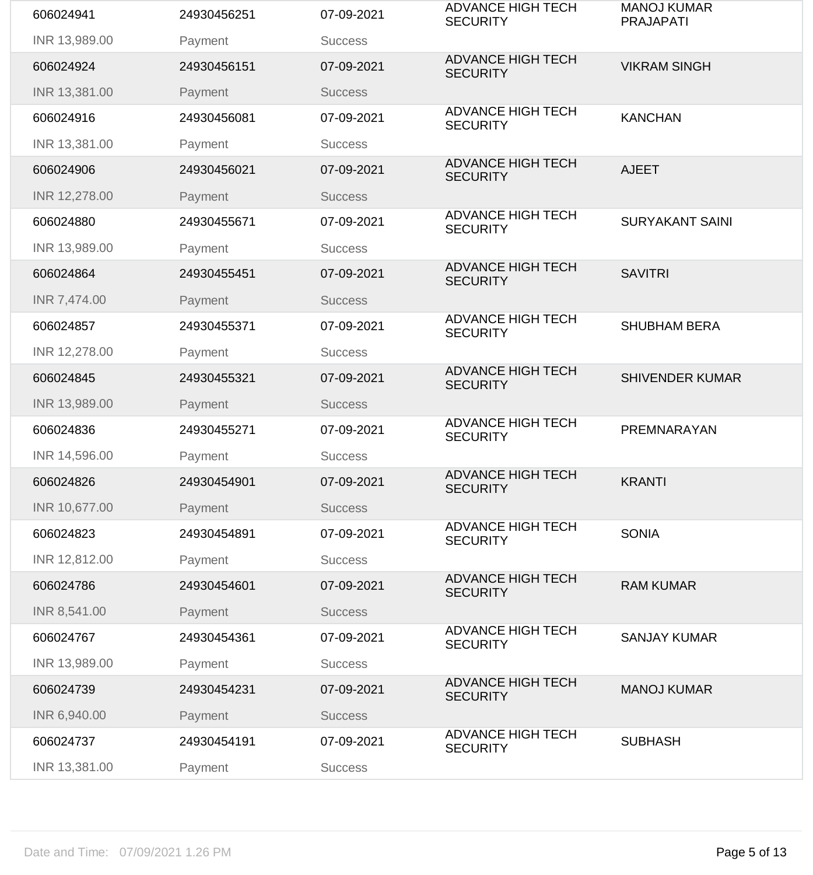| 606024941     | 24930456251 | 07-09-2021     | <b>ADVANCE HIGH TECH</b><br><b>SECURITY</b> | <b>MANOJ KUMAR</b><br><b>PRAJAPATI</b> |
|---------------|-------------|----------------|---------------------------------------------|----------------------------------------|
| INR 13,989.00 | Payment     | <b>Success</b> |                                             |                                        |
| 606024924     | 24930456151 | 07-09-2021     | <b>ADVANCE HIGH TECH</b><br><b>SECURITY</b> | <b>VIKRAM SINGH</b>                    |
| INR 13,381.00 | Payment     | <b>Success</b> |                                             |                                        |
| 606024916     | 24930456081 | 07-09-2021     | <b>ADVANCE HIGH TECH</b><br><b>SECURITY</b> | <b>KANCHAN</b>                         |
| INR 13,381.00 | Payment     | <b>Success</b> |                                             |                                        |
| 606024906     | 24930456021 | 07-09-2021     | <b>ADVANCE HIGH TECH</b><br><b>SECURITY</b> | <b>AJEET</b>                           |
| INR 12,278.00 | Payment     | <b>Success</b> |                                             |                                        |
| 606024880     | 24930455671 | 07-09-2021     | <b>ADVANCE HIGH TECH</b><br><b>SECURITY</b> | <b>SURYAKANT SAINI</b>                 |
| INR 13,989.00 | Payment     | <b>Success</b> |                                             |                                        |
| 606024864     | 24930455451 | 07-09-2021     | <b>ADVANCE HIGH TECH</b><br><b>SECURITY</b> | <b>SAVITRI</b>                         |
| INR 7,474.00  | Payment     | <b>Success</b> |                                             |                                        |
| 606024857     | 24930455371 | 07-09-2021     | <b>ADVANCE HIGH TECH</b><br><b>SECURITY</b> | <b>SHUBHAM BERA</b>                    |
| INR 12,278.00 | Payment     | <b>Success</b> |                                             |                                        |
| 606024845     | 24930455321 | 07-09-2021     | <b>ADVANCE HIGH TECH</b><br><b>SECURITY</b> | <b>SHIVENDER KUMAR</b>                 |
| INR 13,989.00 | Payment     | <b>Success</b> |                                             |                                        |
| 606024836     | 24930455271 | 07-09-2021     | <b>ADVANCE HIGH TECH</b><br><b>SECURITY</b> | PREMNARAYAN                            |
| INR 14,596.00 | Payment     | <b>Success</b> |                                             |                                        |
| 606024826     | 24930454901 | 07-09-2021     | <b>ADVANCE HIGH TECH</b><br><b>SECURITY</b> | <b>KRANTI</b>                          |
| INR 10,677.00 | Payment     | <b>Success</b> |                                             |                                        |
| 606024823     | 24930454891 | 07-09-2021     | <b>ADVANCE HIGH TECH</b><br><b>SECURITY</b> | <b>SONIA</b>                           |
| INR 12,812.00 | Payment     | <b>Success</b> |                                             |                                        |
| 606024786     | 24930454601 | 07-09-2021     | <b>ADVANCE HIGH TECH</b><br><b>SECURITY</b> | <b>RAM KUMAR</b>                       |
| INR 8,541.00  | Payment     | <b>Success</b> |                                             |                                        |
| 606024767     | 24930454361 | 07-09-2021     | <b>ADVANCE HIGH TECH</b><br><b>SECURITY</b> | <b>SANJAY KUMAR</b>                    |
| INR 13,989.00 | Payment     | <b>Success</b> |                                             |                                        |
|               |             |                | <b>ADVANCE HIGH TECH</b>                    |                                        |
| 606024739     | 24930454231 | 07-09-2021     | <b>SECURITY</b>                             | <b>MANOJ KUMAR</b>                     |
| INR 6,940.00  | Payment     | <b>Success</b> |                                             |                                        |
| 606024737     | 24930454191 | 07-09-2021     | <b>ADVANCE HIGH TECH</b><br><b>SECURITY</b> | <b>SUBHASH</b>                         |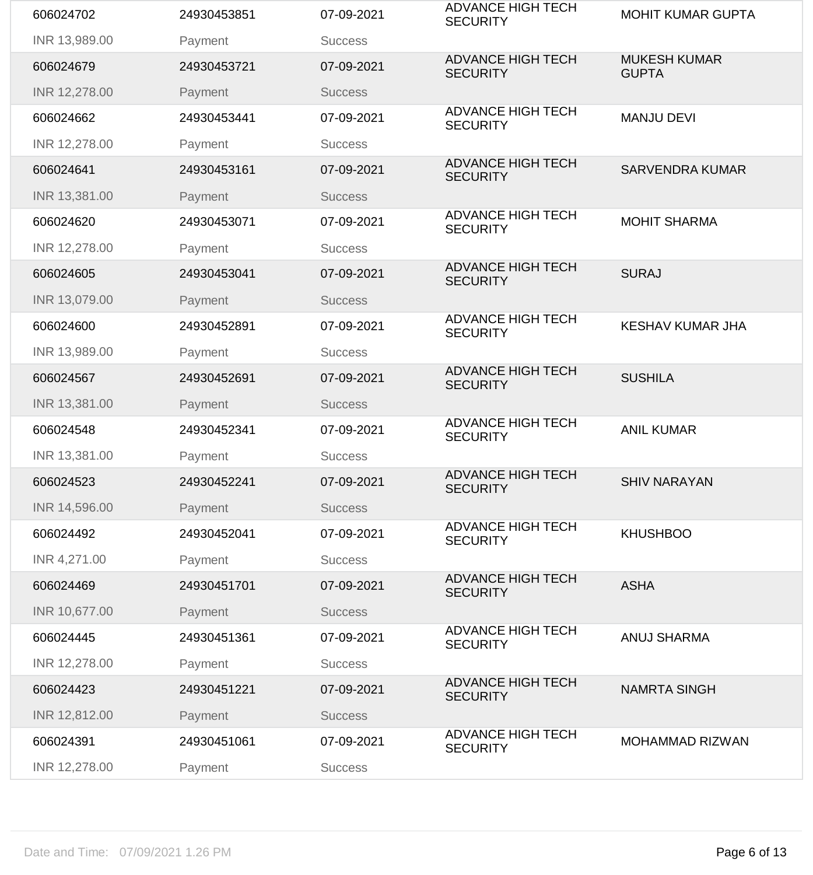| 606024702     | 24930453851 | 07-09-2021     | <b>ADVANCE HIGH TECH</b><br><b>SECURITY</b> | <b>MOHIT KUMAR GUPTA</b>            |
|---------------|-------------|----------------|---------------------------------------------|-------------------------------------|
| INR 13,989.00 | Payment     | <b>Success</b> |                                             |                                     |
| 606024679     | 24930453721 | 07-09-2021     | <b>ADVANCE HIGH TECH</b><br><b>SECURITY</b> | <b>MUKESH KUMAR</b><br><b>GUPTA</b> |
| INR 12,278.00 | Payment     | <b>Success</b> |                                             |                                     |
| 606024662     | 24930453441 | 07-09-2021     | <b>ADVANCE HIGH TECH</b><br><b>SECURITY</b> | <b>MANJU DEVI</b>                   |
| INR 12,278.00 | Payment     | <b>Success</b> |                                             |                                     |
| 606024641     | 24930453161 | 07-09-2021     | <b>ADVANCE HIGH TECH</b><br><b>SECURITY</b> | <b>SARVENDRA KUMAR</b>              |
| INR 13,381.00 | Payment     | <b>Success</b> |                                             |                                     |
| 606024620     | 24930453071 | 07-09-2021     | <b>ADVANCE HIGH TECH</b><br><b>SECURITY</b> | <b>MOHIT SHARMA</b>                 |
| INR 12,278.00 | Payment     | <b>Success</b> |                                             |                                     |
| 606024605     | 24930453041 | 07-09-2021     | <b>ADVANCE HIGH TECH</b><br><b>SECURITY</b> | <b>SURAJ</b>                        |
| INR 13,079.00 | Payment     | <b>Success</b> |                                             |                                     |
| 606024600     | 24930452891 | 07-09-2021     | <b>ADVANCE HIGH TECH</b><br><b>SECURITY</b> | <b>KESHAV KUMAR JHA</b>             |
| INR 13,989.00 | Payment     | <b>Success</b> |                                             |                                     |
| 606024567     | 24930452691 | 07-09-2021     | <b>ADVANCE HIGH TECH</b><br><b>SECURITY</b> | <b>SUSHILA</b>                      |
| INR 13,381.00 | Payment     | <b>Success</b> |                                             |                                     |
| 606024548     | 24930452341 | 07-09-2021     | <b>ADVANCE HIGH TECH</b><br><b>SECURITY</b> | <b>ANIL KUMAR</b>                   |
| INR 13,381.00 | Payment     | <b>Success</b> |                                             |                                     |
| 606024523     | 24930452241 | 07-09-2021     | <b>ADVANCE HIGH TECH</b><br><b>SECURITY</b> | <b>SHIV NARAYAN</b>                 |
| INR 14,596.00 | Payment     | <b>Success</b> |                                             |                                     |
| 606024492     | 24930452041 | 07-09-2021     | <b>ADVANCE HIGH TECH</b><br><b>SECURITY</b> | <b>KHUSHBOO</b>                     |
| INR 4,271.00  | Payment     | <b>Success</b> |                                             |                                     |
| 606024469     | 24930451701 | 07-09-2021     | <b>ADVANCE HIGH TECH</b><br><b>SECURITY</b> | <b>ASHA</b>                         |
| INR 10,677.00 | Payment     | <b>Success</b> |                                             |                                     |
| 606024445     | 24930451361 | 07-09-2021     | <b>ADVANCE HIGH TECH</b><br><b>SECURITY</b> | <b>ANUJ SHARMA</b>                  |
| INR 12,278.00 | Payment     | <b>Success</b> |                                             |                                     |
| 606024423     | 24930451221 | 07-09-2021     | <b>ADVANCE HIGH TECH</b><br><b>SECURITY</b> | <b>NAMRTA SINGH</b>                 |
| INR 12,812.00 | Payment     | <b>Success</b> |                                             |                                     |
| 606024391     | 24930451061 | 07-09-2021     | <b>ADVANCE HIGH TECH</b><br><b>SECURITY</b> | <b>MOHAMMAD RIZWAN</b>              |
| INR 12,278.00 | Payment     | <b>Success</b> |                                             |                                     |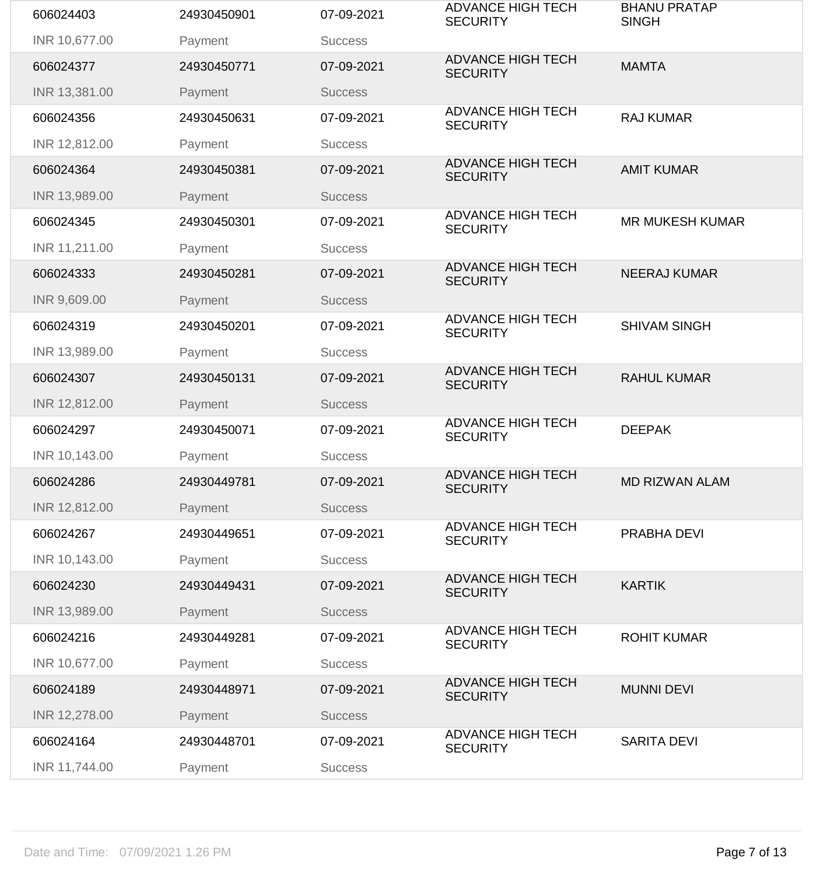| 606024403     | 24930450901 | 07-09-2021     | <b>ADVANCE HIGH TECH</b><br><b>SECURITY</b> | <b>BHANU PRATAP</b><br><b>SINGH</b> |
|---------------|-------------|----------------|---------------------------------------------|-------------------------------------|
| INR 10,677.00 | Payment     | <b>Success</b> |                                             |                                     |
| 606024377     | 24930450771 | 07-09-2021     | <b>ADVANCE HIGH TECH</b><br><b>SECURITY</b> | <b>MAMTA</b>                        |
| INR 13,381.00 | Payment     | <b>Success</b> |                                             |                                     |
| 606024356     | 24930450631 | 07-09-2021     | <b>ADVANCE HIGH TECH</b><br><b>SECURITY</b> | <b>RAJ KUMAR</b>                    |
| INR 12,812.00 | Payment     | <b>Success</b> |                                             |                                     |
| 606024364     | 24930450381 | 07-09-2021     | <b>ADVANCE HIGH TECH</b><br><b>SECURITY</b> | <b>AMIT KUMAR</b>                   |
| INR 13,989.00 | Payment     | <b>Success</b> |                                             |                                     |
| 606024345     | 24930450301 | 07-09-2021     | <b>ADVANCE HIGH TECH</b><br><b>SECURITY</b> | <b>MR MUKESH KUMAR</b>              |
| INR 11,211.00 | Payment     | <b>Success</b> |                                             |                                     |
| 606024333     | 24930450281 | 07-09-2021     | <b>ADVANCE HIGH TECH</b><br><b>SECURITY</b> | <b>NEERAJ KUMAR</b>                 |
| INR 9,609.00  | Payment     | <b>Success</b> |                                             |                                     |
| 606024319     | 24930450201 | 07-09-2021     | <b>ADVANCE HIGH TECH</b><br><b>SECURITY</b> | <b>SHIVAM SINGH</b>                 |
| INR 13,989.00 | Payment     | <b>Success</b> |                                             |                                     |
| 606024307     | 24930450131 | 07-09-2021     | <b>ADVANCE HIGH TECH</b><br><b>SECURITY</b> | <b>RAHUL KUMAR</b>                  |
| INR 12,812.00 | Payment     | <b>Success</b> |                                             |                                     |
| 606024297     | 24930450071 | 07-09-2021     | <b>ADVANCE HIGH TECH</b><br><b>SECURITY</b> | <b>DEEPAK</b>                       |
| INR 10,143.00 | Payment     | <b>Success</b> |                                             |                                     |
| 606024286     | 24930449781 | 07-09-2021     | <b>ADVANCE HIGH TECH</b><br><b>SECURITY</b> | <b>MD RIZWAN ALAM</b>               |
| INR 12,812.00 | Payment     | <b>Success</b> |                                             |                                     |
| 606024267     | 24930449651 | 07-09-2021     | <b>ADVANCE HIGH TECH</b><br><b>SECURITY</b> | PRABHA DEVI                         |
| INR 10,143.00 | Payment     | <b>Success</b> |                                             |                                     |
| 606024230     | 24930449431 | 07-09-2021     | <b>ADVANCE HIGH TECH</b><br><b>SECURITY</b> | <b>KARTIK</b>                       |
| INR 13,989.00 | Payment     | <b>Success</b> |                                             |                                     |
| 606024216     | 24930449281 | 07-09-2021     | <b>ADVANCE HIGH TECH</b><br><b>SECURITY</b> | <b>ROHIT KUMAR</b>                  |
| INR 10,677.00 | Payment     | <b>Success</b> |                                             |                                     |
| 606024189     | 24930448971 | 07-09-2021     | <b>ADVANCE HIGH TECH</b><br><b>SECURITY</b> | <b>MUNNI DEVI</b>                   |
| INR 12,278.00 | Payment     | <b>Success</b> |                                             |                                     |
| 606024164     | 24930448701 | 07-09-2021     | <b>ADVANCE HIGH TECH</b><br><b>SECURITY</b> | <b>SARITA DEVI</b>                  |
| INR 11,744.00 | Payment     | <b>Success</b> |                                             |                                     |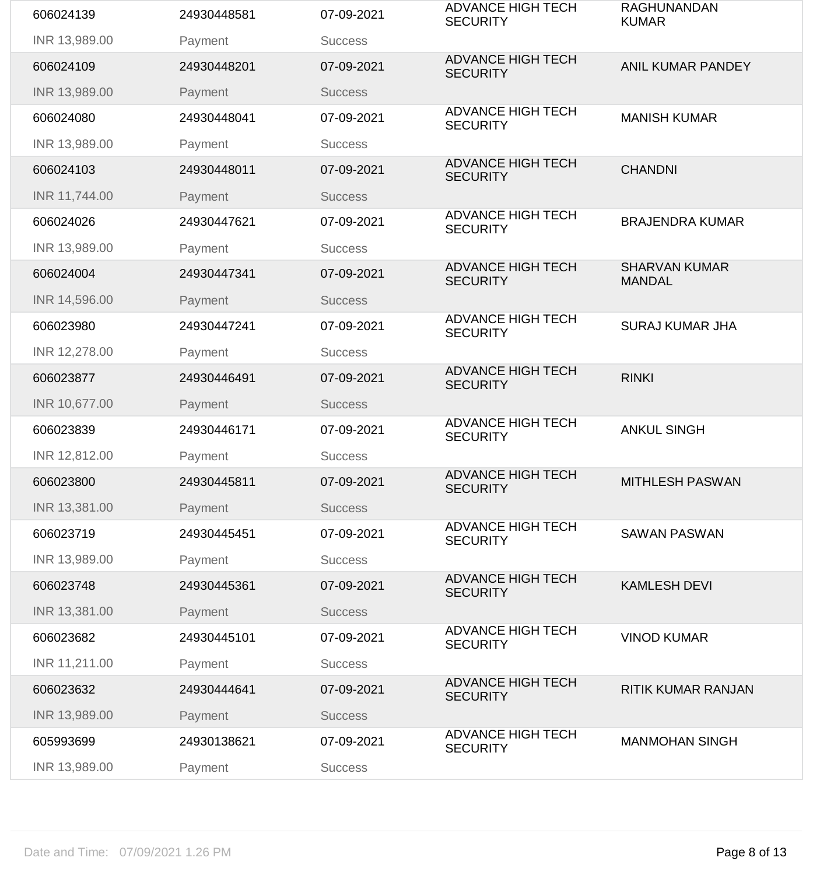| 606024139     | 24930448581 | 07-09-2021     | <b>ADVANCE HIGH TECH</b><br><b>SECURITY</b> | <b>RAGHUNANDAN</b><br><b>KUMAR</b>    |
|---------------|-------------|----------------|---------------------------------------------|---------------------------------------|
| INR 13,989.00 | Payment     | <b>Success</b> |                                             |                                       |
| 606024109     | 24930448201 | 07-09-2021     | <b>ADVANCE HIGH TECH</b><br><b>SECURITY</b> | <b>ANIL KUMAR PANDEY</b>              |
| INR 13,989.00 | Payment     | <b>Success</b> |                                             |                                       |
| 606024080     | 24930448041 | 07-09-2021     | <b>ADVANCE HIGH TECH</b><br><b>SECURITY</b> | <b>MANISH KUMAR</b>                   |
| INR 13,989.00 | Payment     | <b>Success</b> |                                             |                                       |
| 606024103     | 24930448011 | 07-09-2021     | <b>ADVANCE HIGH TECH</b><br><b>SECURITY</b> | <b>CHANDNI</b>                        |
| INR 11,744.00 | Payment     | <b>Success</b> |                                             |                                       |
| 606024026     | 24930447621 | 07-09-2021     | <b>ADVANCE HIGH TECH</b><br><b>SECURITY</b> | <b>BRAJENDRA KUMAR</b>                |
| INR 13,989.00 | Payment     | <b>Success</b> |                                             |                                       |
| 606024004     | 24930447341 | 07-09-2021     | <b>ADVANCE HIGH TECH</b><br><b>SECURITY</b> | <b>SHARVAN KUMAR</b><br><b>MANDAL</b> |
| INR 14,596.00 | Payment     | <b>Success</b> |                                             |                                       |
| 606023980     | 24930447241 | 07-09-2021     | <b>ADVANCE HIGH TECH</b><br><b>SECURITY</b> | <b>SURAJ KUMAR JHA</b>                |
| INR 12,278.00 | Payment     | <b>Success</b> |                                             |                                       |
| 606023877     | 24930446491 | 07-09-2021     | <b>ADVANCE HIGH TECH</b><br><b>SECURITY</b> | <b>RINKI</b>                          |
| INR 10,677.00 | Payment     | <b>Success</b> |                                             |                                       |
| 606023839     | 24930446171 | 07-09-2021     | <b>ADVANCE HIGH TECH</b><br><b>SECURITY</b> | <b>ANKUL SINGH</b>                    |
| INR 12,812.00 | Payment     | <b>Success</b> |                                             |                                       |
| 606023800     | 24930445811 | 07-09-2021     | <b>ADVANCE HIGH TECH</b><br><b>SECURITY</b> | <b>MITHLESH PASWAN</b>                |
| INR 13,381.00 | Payment     | <b>Success</b> |                                             |                                       |
| 606023719     | 24930445451 | 07-09-2021     | <b>ADVANCE HIGH TECH</b><br><b>SECURITY</b> | <b>SAWAN PASWAN</b>                   |
| INR 13,989.00 | Payment     | <b>Success</b> |                                             |                                       |
| 606023748     | 24930445361 | 07-09-2021     | <b>ADVANCE HIGH TECH</b><br><b>SECURITY</b> | <b>KAMLESH DEVI</b>                   |
| INR 13,381.00 | Payment     | <b>Success</b> |                                             |                                       |
| 606023682     | 24930445101 | 07-09-2021     | <b>ADVANCE HIGH TECH</b><br><b>SECURITY</b> | <b>VINOD KUMAR</b>                    |
| INR 11,211.00 | Payment     | <b>Success</b> |                                             |                                       |
| 606023632     | 24930444641 | 07-09-2021     | <b>ADVANCE HIGH TECH</b><br><b>SECURITY</b> | <b>RITIK KUMAR RANJAN</b>             |
| INR 13,989.00 | Payment     | <b>Success</b> |                                             |                                       |
| 605993699     | 24930138621 | 07-09-2021     | <b>ADVANCE HIGH TECH</b><br><b>SECURITY</b> | <b>MANMOHAN SINGH</b>                 |
| INR 13,989.00 | Payment     | <b>Success</b> |                                             |                                       |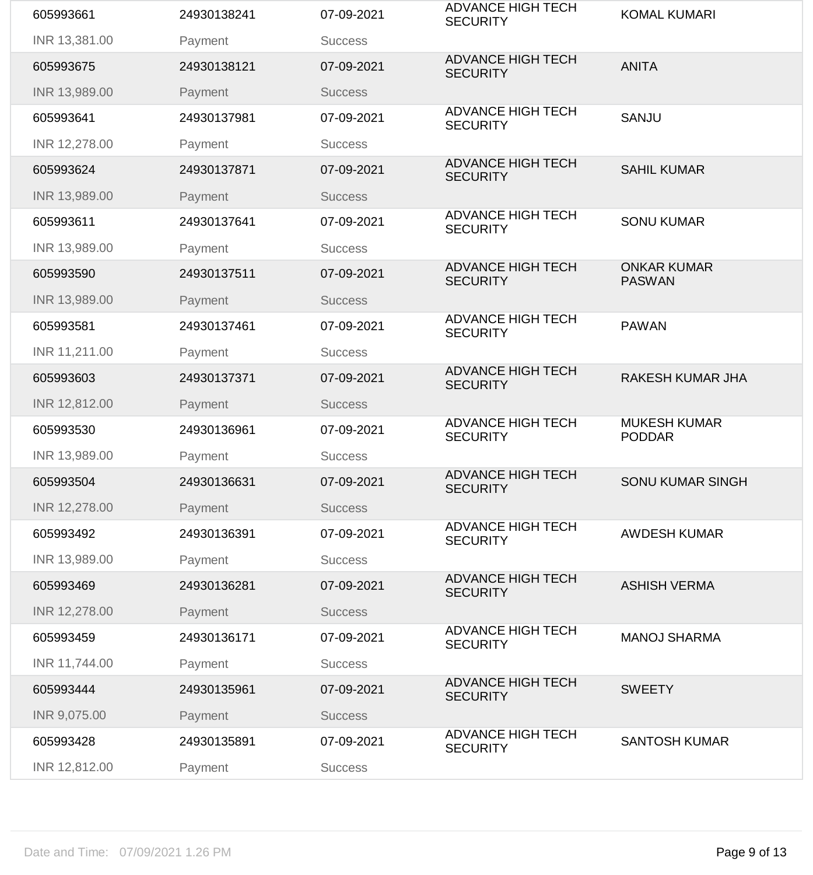| 605993661     | 24930138241 | 07-09-2021     | <b>ADVANCE HIGH TECH</b><br><b>SECURITY</b> | <b>KOMAL KUMARI</b>                  |
|---------------|-------------|----------------|---------------------------------------------|--------------------------------------|
| INR 13,381.00 | Payment     | <b>Success</b> |                                             |                                      |
| 605993675     | 24930138121 | 07-09-2021     | <b>ADVANCE HIGH TECH</b><br><b>SECURITY</b> | <b>ANITA</b>                         |
| INR 13,989.00 | Payment     | <b>Success</b> |                                             |                                      |
| 605993641     | 24930137981 | 07-09-2021     | <b>ADVANCE HIGH TECH</b><br><b>SECURITY</b> | <b>SANJU</b>                         |
| INR 12,278.00 | Payment     | <b>Success</b> |                                             |                                      |
| 605993624     | 24930137871 | 07-09-2021     | <b>ADVANCE HIGH TECH</b><br><b>SECURITY</b> | <b>SAHIL KUMAR</b>                   |
| INR 13,989.00 | Payment     | <b>Success</b> |                                             |                                      |
| 605993611     | 24930137641 | 07-09-2021     | <b>ADVANCE HIGH TECH</b><br><b>SECURITY</b> | <b>SONU KUMAR</b>                    |
| INR 13,989.00 | Payment     | <b>Success</b> |                                             |                                      |
| 605993590     | 24930137511 | 07-09-2021     | <b>ADVANCE HIGH TECH</b><br><b>SECURITY</b> | <b>ONKAR KUMAR</b><br><b>PASWAN</b>  |
| INR 13,989.00 | Payment     | <b>Success</b> |                                             |                                      |
| 605993581     | 24930137461 | 07-09-2021     | <b>ADVANCE HIGH TECH</b><br><b>SECURITY</b> | <b>PAWAN</b>                         |
| INR 11,211.00 | Payment     | <b>Success</b> |                                             |                                      |
| 605993603     | 24930137371 | 07-09-2021     | <b>ADVANCE HIGH TECH</b><br><b>SECURITY</b> | <b>RAKESH KUMAR JHA</b>              |
| INR 12,812.00 | Payment     | <b>Success</b> |                                             |                                      |
| 605993530     | 24930136961 | 07-09-2021     | <b>ADVANCE HIGH TECH</b><br><b>SECURITY</b> | <b>MUKESH KUMAR</b><br><b>PODDAR</b> |
| INR 13,989.00 | Payment     | <b>Success</b> |                                             |                                      |
| 605993504     | 24930136631 | 07-09-2021     | <b>ADVANCE HIGH TECH</b><br><b>SECURITY</b> | <b>SONU KUMAR SINGH</b>              |
| INR 12,278.00 | Payment     | <b>Success</b> |                                             |                                      |
| 605993492     | 24930136391 | 07-09-2021     | <b>ADVANCE HIGH TECH</b><br><b>SECURITY</b> | <b>AWDESH KUMAR</b>                  |
| INR 13,989.00 | Payment     | <b>Success</b> |                                             |                                      |
| 605993469     | 24930136281 | 07-09-2021     | <b>ADVANCE HIGH TECH</b><br><b>SECURITY</b> | <b>ASHISH VERMA</b>                  |
| INR 12,278.00 | Payment     | <b>Success</b> |                                             |                                      |
| 605993459     | 24930136171 | 07-09-2021     | <b>ADVANCE HIGH TECH</b><br><b>SECURITY</b> | <b>MANOJ SHARMA</b>                  |
| INR 11,744.00 | Payment     | <b>Success</b> |                                             |                                      |
| 605993444     | 24930135961 | 07-09-2021     | <b>ADVANCE HIGH TECH</b><br><b>SECURITY</b> | <b>SWEETY</b>                        |
| INR 9,075.00  | Payment     | <b>Success</b> |                                             |                                      |
| 605993428     | 24930135891 | 07-09-2021     | <b>ADVANCE HIGH TECH</b><br><b>SECURITY</b> | <b>SANTOSH KUMAR</b>                 |
| INR 12,812.00 | Payment     | <b>Success</b> |                                             |                                      |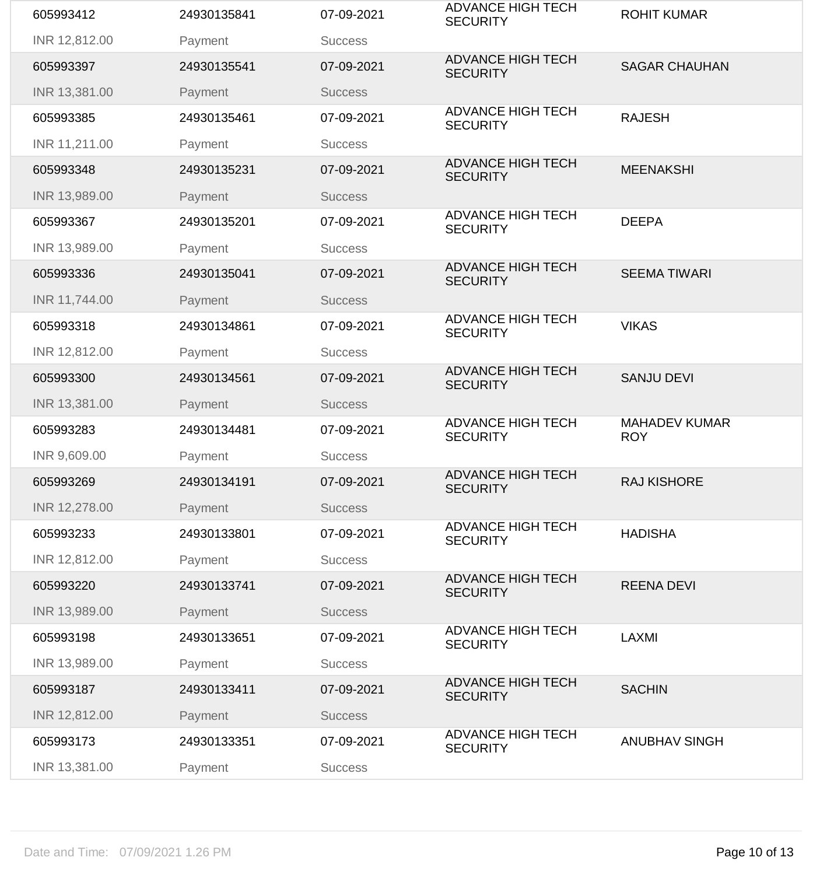| 605993412     | 24930135841 | 07-09-2021     | <b>ADVANCE HIGH TECH</b><br><b>SECURITY</b> | <b>ROHIT KUMAR</b>                 |
|---------------|-------------|----------------|---------------------------------------------|------------------------------------|
| INR 12,812.00 | Payment     | <b>Success</b> |                                             |                                    |
| 605993397     | 24930135541 | 07-09-2021     | <b>ADVANCE HIGH TECH</b><br><b>SECURITY</b> | <b>SAGAR CHAUHAN</b>               |
| INR 13,381.00 | Payment     | <b>Success</b> |                                             |                                    |
| 605993385     | 24930135461 | 07-09-2021     | <b>ADVANCE HIGH TECH</b><br><b>SECURITY</b> | <b>RAJESH</b>                      |
| INR 11,211.00 | Payment     | <b>Success</b> |                                             |                                    |
| 605993348     | 24930135231 | 07-09-2021     | <b>ADVANCE HIGH TECH</b><br><b>SECURITY</b> | <b>MEENAKSHI</b>                   |
| INR 13,989.00 | Payment     | <b>Success</b> |                                             |                                    |
| 605993367     | 24930135201 | 07-09-2021     | <b>ADVANCE HIGH TECH</b><br><b>SECURITY</b> | <b>DEEPA</b>                       |
| INR 13,989.00 | Payment     | <b>Success</b> |                                             |                                    |
| 605993336     | 24930135041 | 07-09-2021     | <b>ADVANCE HIGH TECH</b><br><b>SECURITY</b> | <b>SEEMA TIWARI</b>                |
| INR 11,744.00 | Payment     | <b>Success</b> |                                             |                                    |
| 605993318     | 24930134861 | 07-09-2021     | <b>ADVANCE HIGH TECH</b><br><b>SECURITY</b> | <b>VIKAS</b>                       |
| INR 12,812.00 | Payment     | <b>Success</b> |                                             |                                    |
| 605993300     | 24930134561 | 07-09-2021     | <b>ADVANCE HIGH TECH</b><br><b>SECURITY</b> | <b>SANJU DEVI</b>                  |
| INR 13,381.00 | Payment     | <b>Success</b> |                                             |                                    |
| 605993283     | 24930134481 | 07-09-2021     | <b>ADVANCE HIGH TECH</b><br><b>SECURITY</b> | <b>MAHADEV KUMAR</b><br><b>ROY</b> |
| INR 9,609.00  | Payment     | <b>Success</b> |                                             |                                    |
| 605993269     | 24930134191 | 07-09-2021     | <b>ADVANCE HIGH TECH</b><br><b>SECURITY</b> | <b>RAJ KISHORE</b>                 |
| INR 12,278.00 | Payment     | <b>Success</b> |                                             |                                    |
| 605993233     | 24930133801 | 07-09-2021     | <b>ADVANCE HIGH TECH</b><br><b>SECURITY</b> | <b>HADISHA</b>                     |
| INR 12,812.00 | Payment     | <b>Success</b> |                                             |                                    |
| 605993220     | 24930133741 | 07-09-2021     | <b>ADVANCE HIGH TECH</b><br><b>SECURITY</b> | <b>REENA DEVI</b>                  |
| INR 13,989.00 | Payment     | <b>Success</b> |                                             |                                    |
| 605993198     | 24930133651 | 07-09-2021     | <b>ADVANCE HIGH TECH</b><br><b>SECURITY</b> | <b>LAXMI</b>                       |
| INR 13,989.00 | Payment     | <b>Success</b> |                                             |                                    |
| 605993187     | 24930133411 | 07-09-2021     | <b>ADVANCE HIGH TECH</b><br><b>SECURITY</b> | <b>SACHIN</b>                      |
| INR 12,812.00 | Payment     | <b>Success</b> |                                             |                                    |
| 605993173     | 24930133351 | 07-09-2021     | <b>ADVANCE HIGH TECH</b><br><b>SECURITY</b> | <b>ANUBHAV SINGH</b>               |
| INR 13,381.00 | Payment     | <b>Success</b> |                                             |                                    |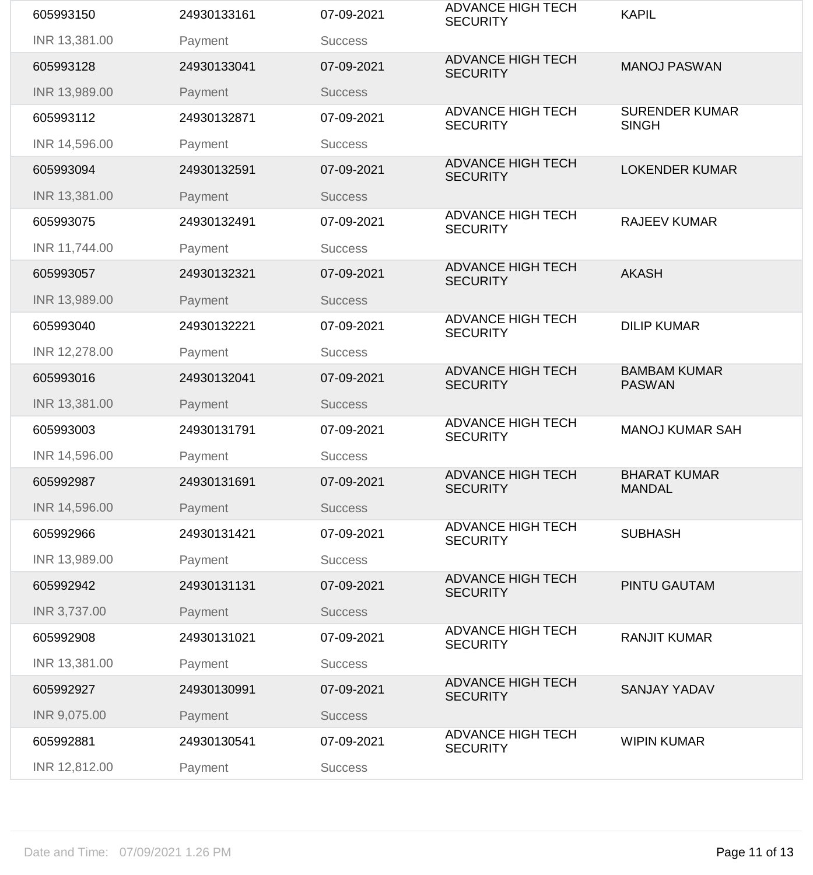| 605993150     | 24930133161 | 07-09-2021     | <b>ADVANCE HIGH TECH</b><br><b>SECURITY</b> | <b>KAPIL</b>                          |
|---------------|-------------|----------------|---------------------------------------------|---------------------------------------|
| INR 13,381.00 | Payment     | <b>Success</b> |                                             |                                       |
| 605993128     | 24930133041 | 07-09-2021     | <b>ADVANCE HIGH TECH</b><br><b>SECURITY</b> | <b>MANOJ PASWAN</b>                   |
| INR 13,989.00 | Payment     | <b>Success</b> |                                             |                                       |
| 605993112     | 24930132871 | 07-09-2021     | <b>ADVANCE HIGH TECH</b><br><b>SECURITY</b> | <b>SURENDER KUMAR</b><br><b>SINGH</b> |
| INR 14,596.00 | Payment     | <b>Success</b> |                                             |                                       |
| 605993094     | 24930132591 | 07-09-2021     | <b>ADVANCE HIGH TECH</b><br><b>SECURITY</b> | <b>LOKENDER KUMAR</b>                 |
| INR 13,381.00 | Payment     | <b>Success</b> |                                             |                                       |
| 605993075     | 24930132491 | 07-09-2021     | <b>ADVANCE HIGH TECH</b><br><b>SECURITY</b> | <b>RAJEEV KUMAR</b>                   |
| INR 11,744.00 | Payment     | <b>Success</b> |                                             |                                       |
| 605993057     | 24930132321 | 07-09-2021     | <b>ADVANCE HIGH TECH</b><br><b>SECURITY</b> | <b>AKASH</b>                          |
| INR 13,989.00 | Payment     | <b>Success</b> |                                             |                                       |
| 605993040     | 24930132221 | 07-09-2021     | <b>ADVANCE HIGH TECH</b><br><b>SECURITY</b> | <b>DILIP KUMAR</b>                    |
| INR 12,278.00 | Payment     | <b>Success</b> |                                             |                                       |
| 605993016     | 24930132041 | 07-09-2021     | <b>ADVANCE HIGH TECH</b><br><b>SECURITY</b> | <b>BAMBAM KUMAR</b><br><b>PASWAN</b>  |
| INR 13,381.00 | Payment     | <b>Success</b> |                                             |                                       |
| 605993003     | 24930131791 | 07-09-2021     | <b>ADVANCE HIGH TECH</b><br><b>SECURITY</b> | <b>MANOJ KUMAR SAH</b>                |
| INR 14,596.00 | Payment     | <b>Success</b> |                                             |                                       |
| 605992987     | 24930131691 | 07-09-2021     | <b>ADVANCE HIGH TECH</b><br><b>SECURITY</b> | <b>BHARAT KUMAR</b><br><b>MANDAL</b>  |
| INR 14,596.00 | Payment     | <b>Success</b> |                                             |                                       |
| 605992966     | 24930131421 | 07-09-2021     | <b>ADVANCE HIGH TECH</b><br><b>SECURITY</b> | <b>SUBHASH</b>                        |
| INR 13,989.00 | Payment     | <b>Success</b> |                                             |                                       |
| 605992942     | 24930131131 | 07-09-2021     | <b>ADVANCE HIGH TECH</b><br><b>SECURITY</b> | <b>PINTU GAUTAM</b>                   |
| INR 3,737.00  | Payment     | <b>Success</b> |                                             |                                       |
| 605992908     | 24930131021 | 07-09-2021     | <b>ADVANCE HIGH TECH</b><br><b>SECURITY</b> | <b>RANJIT KUMAR</b>                   |
| INR 13,381.00 | Payment     | <b>Success</b> |                                             |                                       |
| 605992927     | 24930130991 | 07-09-2021     | <b>ADVANCE HIGH TECH</b><br><b>SECURITY</b> | <b>SANJAY YADAV</b>                   |
| INR 9,075.00  | Payment     | <b>Success</b> |                                             |                                       |
| 605992881     | 24930130541 | 07-09-2021     | <b>ADVANCE HIGH TECH</b><br><b>SECURITY</b> | <b>WIPIN KUMAR</b>                    |
| INR 12,812.00 | Payment     | <b>Success</b> |                                             |                                       |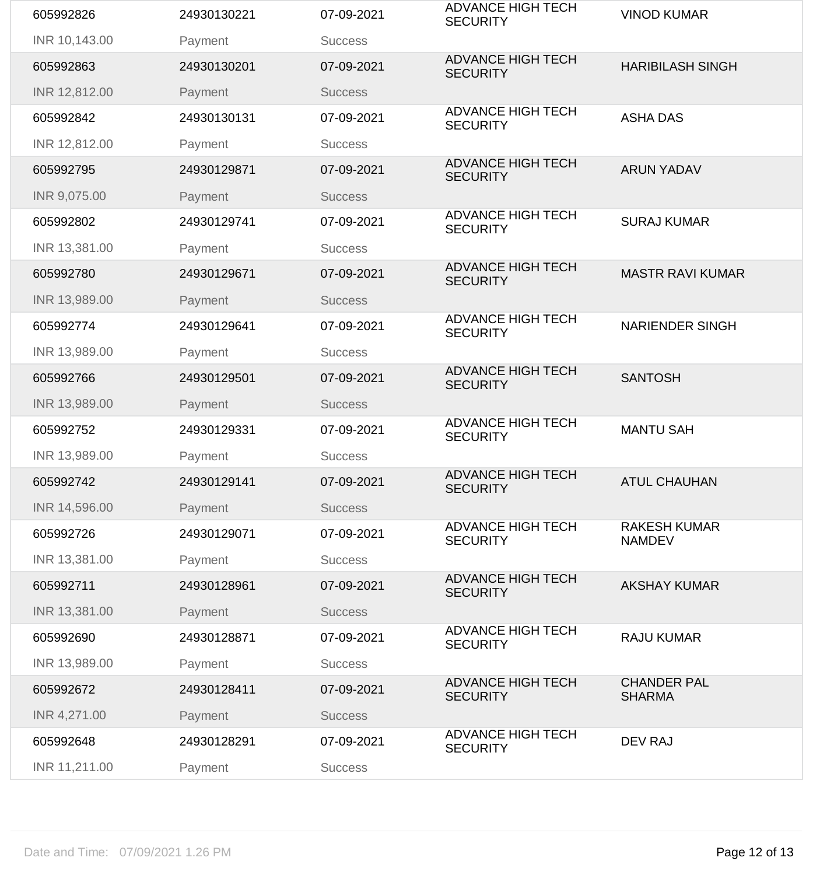| 605992826     | 24930130221 | 07-09-2021     | <b>ADVANCE HIGH TECH</b><br><b>SECURITY</b> | <b>VINOD KUMAR</b>                   |
|---------------|-------------|----------------|---------------------------------------------|--------------------------------------|
| INR 10,143.00 | Payment     | <b>Success</b> |                                             |                                      |
| 605992863     | 24930130201 | 07-09-2021     | <b>ADVANCE HIGH TECH</b><br><b>SECURITY</b> | <b>HARIBILASH SINGH</b>              |
| INR 12,812.00 | Payment     | <b>Success</b> |                                             |                                      |
| 605992842     | 24930130131 | 07-09-2021     | <b>ADVANCE HIGH TECH</b><br><b>SECURITY</b> | <b>ASHA DAS</b>                      |
| INR 12,812.00 | Payment     | <b>Success</b> |                                             |                                      |
| 605992795     | 24930129871 | 07-09-2021     | <b>ADVANCE HIGH TECH</b><br><b>SECURITY</b> | <b>ARUN YADAV</b>                    |
| INR 9,075.00  | Payment     | <b>Success</b> |                                             |                                      |
| 605992802     | 24930129741 | 07-09-2021     | <b>ADVANCE HIGH TECH</b><br><b>SECURITY</b> | <b>SURAJ KUMAR</b>                   |
| INR 13,381.00 | Payment     | <b>Success</b> |                                             |                                      |
| 605992780     | 24930129671 | 07-09-2021     | <b>ADVANCE HIGH TECH</b><br><b>SECURITY</b> | <b>MASTR RAVI KUMAR</b>              |
| INR 13,989.00 | Payment     | <b>Success</b> |                                             |                                      |
| 605992774     | 24930129641 | 07-09-2021     | <b>ADVANCE HIGH TECH</b><br><b>SECURITY</b> | <b>NARIENDER SINGH</b>               |
| INR 13,989.00 | Payment     | <b>Success</b> |                                             |                                      |
| 605992766     | 24930129501 | 07-09-2021     | <b>ADVANCE HIGH TECH</b><br><b>SECURITY</b> | <b>SANTOSH</b>                       |
| INR 13,989.00 | Payment     | <b>Success</b> |                                             |                                      |
| 605992752     | 24930129331 | 07-09-2021     | <b>ADVANCE HIGH TECH</b><br><b>SECURITY</b> | <b>MANTU SAH</b>                     |
| INR 13,989.00 | Payment     | <b>Success</b> |                                             |                                      |
| 605992742     | 24930129141 | 07-09-2021     | <b>ADVANCE HIGH TECH</b><br><b>SECURITY</b> | <b>ATUL CHAUHAN</b>                  |
| INR 14,596.00 | Payment     | <b>Success</b> |                                             |                                      |
| 605992726     | 24930129071 | 07-09-2021     | <b>ADVANCE HIGH TECH</b><br><b>SECURITY</b> | <b>RAKESH KUMAR</b><br><b>NAMDEV</b> |
| INR 13,381.00 | Payment     | <b>Success</b> |                                             |                                      |
| 605992711     | 24930128961 | 07-09-2021     | <b>ADVANCE HIGH TECH</b><br><b>SECURITY</b> | <b>AKSHAY KUMAR</b>                  |
| INR 13,381.00 | Payment     | <b>Success</b> |                                             |                                      |
| 605992690     | 24930128871 | 07-09-2021     | <b>ADVANCE HIGH TECH</b><br><b>SECURITY</b> | <b>RAJU KUMAR</b>                    |
| INR 13,989.00 | Payment     | <b>Success</b> |                                             |                                      |
| 605992672     | 24930128411 | 07-09-2021     | <b>ADVANCE HIGH TECH</b><br><b>SECURITY</b> | <b>CHANDER PAL</b><br><b>SHARMA</b>  |
| INR 4,271.00  | Payment     | <b>Success</b> |                                             |                                      |
| 605992648     | 24930128291 | 07-09-2021     | <b>ADVANCE HIGH TECH</b><br><b>SECURITY</b> | <b>DEV RAJ</b>                       |
| INR 11,211.00 | Payment     | <b>Success</b> |                                             |                                      |